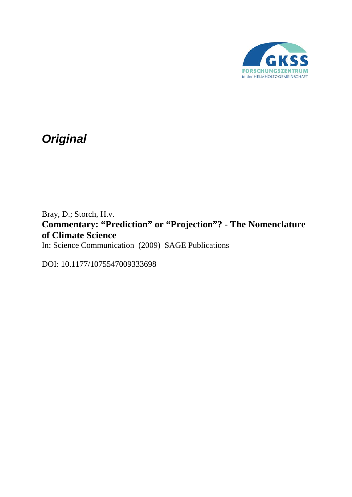

# *Original*

Bray, D.; Storch, H.v. **Commentary: "Prediction" or "Projection"? - The Nomenclature of Climate Science**

In: Science Communication (2009) SAGE Publications

DOI: 10.1177/1075547009333698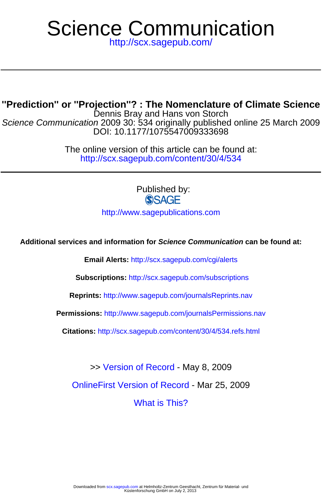### <http://scx.sagepub.com/> Science Communication

**''Prediction'' or ''Projection''? : The Nomenclature of Climate Science**

DOI: 10.1177/1075547009333698 Science Communication 2009 30: 534 originally published online 25 March 2009 Dennis Bray and Hans von Storch

> <http://scx.sagepub.com/content/30/4/534> The online version of this article can be found at:

> > Published by: **SSAGE**

<http://www.sagepublications.com>

**Additional services and information for Science Communication can be found at:**

**Email Alerts:** <http://scx.sagepub.com/cgi/alerts>

**Subscriptions:** <http://scx.sagepub.com/subscriptions>

**Reprints:** <http://www.sagepub.com/journalsReprints.nav>

**Permissions:** <http://www.sagepub.com/journalsPermissions.nav>

**Citations:** <http://scx.sagepub.com/content/30/4/534.refs.html>

[What is This?](http://online.sagepub.com/site/sphelp/vorhelp.xhtml) [OnlineFirst Version of Record](http://scx.sagepub.com/content/early/2009/03/25/1075547009333698.full.pdf) - Mar 25, 2009 >> [Version of Record -](http://scx.sagepub.com/content/30/4/534.full.pdf) May 8, 2009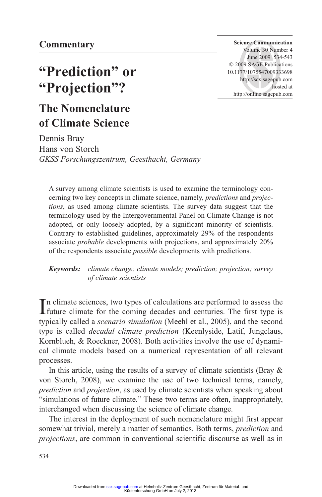## **"Prediction" or "Projection"?**

**Science Communication** Volume 30 Number 4 June 2009 534-543 © 2009 SAGE Publications 10.1177/1075547009333698 http://scx.sagepub.com hosted at http://online.sagepub.com

### **The Nomenclature of Climate Science**

Dennis Bray Hans von Storch *GKSS Forschungszentrum, Geesthacht, Germany*

A survey among climate scientists is used to examine the terminology concerning two key concepts in climate science, namely, *predictions* and *projections*, as used among climate scientists. The survey data suggest that the terminology used by the Intergovernmental Panel on Climate Change is not adopted, or only loosely adopted, by a significant minority of scientists. Contrary to established guidelines, approximately 29% of the respondents associate *probable* developments with projections, and approximately 20% of the respondents associate *possible* developments with predictions.

*Keywords: climate change; climate models; prediction; projection; survey of climate scientists*

In climate sciences, two types of calculations are performed to assess the future climate for the coming decades and centuries. The first type is n climate sciences, two types of calculations are performed to assess the typically called a *scenario simulation* (Meehl et al., 2005), and the second type is called *decadal climate prediction* (Keenlyside, Latif, Jungclaus, Kornblueh, & Roeckner, 2008). Both activities involve the use of dynamical climate models based on a numerical representation of all relevant processes.

In this article, using the results of a survey of climate scientists (Bray  $\&$ von Storch, 2008), we examine the use of two technical terms, namely, *prediction* and *projection*, as used by climate scientists when speaking about "simulations of future climate." These two terms are often, inappropriately, interchanged when discussing the science of climate change.

The interest in the deployment of such nomenclature might first appear somewhat trivial, merely a matter of semantics. Both terms, *prediction* and *projections*, are common in conventional scientific discourse as well as in

534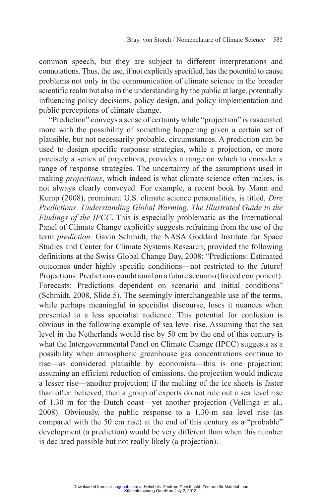common speech, but they are subject to different interpretations and connotations. Thus, the use, if not explicitly specified, has the potential to cause problems not only in the communication of climate science in the broader scientific realm but also in the understanding by the public at large, potentially influencing policy decisions, policy design, and policy implementation and public perceptions of climate change.

"Prediction" conveys a sense of certainty while "projection" is associated more with the possibility of something happening given a certain set of plausible, but not necessarily probable, circumstances. A prediction can be used to design specific response strategies, while a projection, or more precisely a series of projections, provides a range on which to consider a range of response strategies. The uncertainty of the assumptions used in making *projections*, which indeed is what climate science often makes, is not always clearly conveyed. For example, a recent book by Mann and Kump (2008), prominent U.S. climate science personalities, is titled, *Dire Predictions: Understanding Global Warming. The Illustrated Guide to the Findings of the IPCC*. This is especially problematic as the International Panel of Climate Change explicitly suggests refraining from the use of the term *prediction*. Gavin Schmidt, the NASA Goddard Institute for Space Studies and Center for Climate Systems Research, provided the following definitions at the Swiss Global Change Day, 2008: "Predictions: Estimated outcomes under highly specific conditions—not restricted to the future! Projections: Predictions conditional on a future scenario (forced component). Forecasts: Predictions dependent on scenario and initial conditions" (Schmidt, 2008, Slide 5). The seemingly interchangeable use of the terms, while perhaps meaningful in specialist discourse, loses it nuances when presented to a less specialist audience. This potential for confusion is obvious in the following example of sea level rise. Assuming that the sea level in the Netherlands would rise by 50 cm by the end of this century is what the Intergovernmental Panel on Climate Change (IPCC) suggests as a possibility when atmospheric greenhouse gas concentrations continue to rise—as considered plausible by economists—this is one projection; assuming an efficient reduction of emissions, the projection would indicate a lesser rise—another projection; if the melting of the ice sheets is faster than often believed, then a group of experts do not rule out a sea level rise of 1.30 m for the Dutch coast—yet another projection (Vellinga et al., 2008). Obviously, the public response to a 1.30-m sea level rise (as compared with the 50 cm rise) at the end of this century as a "probable" development (a prediction) would be very different than when this number is declared possible but not really likely (a projection).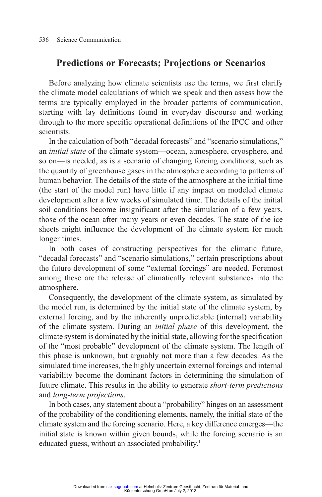#### **Predictions or Forecasts; Projections or Scenarios**

Before analyzing how climate scientists use the terms, we first clarify the climate model calculations of which we speak and then assess how the terms are typically employed in the broader patterns of communication, starting with lay definitions found in everyday discourse and working through to the more specific operational definitions of the IPCC and other scientists.

In the calculation of both "decadal forecasts" and "scenario simulations," an *initial state* of the climate system—ocean, atmosphere, cryosphere, and so on—is needed, as is a scenario of changing forcing conditions, such as the quantity of greenhouse gases in the atmosphere according to patterns of human behavior. The details of the state of the atmosphere at the initial time (the start of the model run) have little if any impact on modeled climate development after a few weeks of simulated time. The details of the initial soil conditions become insignificant after the simulation of a few years, those of the ocean after many years or even decades. The state of the ice sheets might influence the development of the climate system for much longer times.

In both cases of constructing perspectives for the climatic future, "decadal forecasts" and "scenario simulations," certain prescriptions about the future development of some "external forcings" are needed. Foremost among these are the release of climatically relevant substances into the atmosphere.

Consequently, the development of the climate system, as simulated by the model run, is determined by the initial state of the climate system, by external forcing, and by the inherently unpredictable (internal) variability of the climate system. During an *initial phase* of this development, the climate system is dominated by the initial state, allowing for the specification of the "most probable" development of the climate system. The length of this phase is unknown, but arguably not more than a few decades. As the simulated time increases, the highly uncertain external forcings and internal variability become the dominant factors in determining the simulation of future climate. This results in the ability to generate *short-term predictions* and *long-term projections*.

In both cases, any statement about a "probability" hinges on an assessment of the probability of the conditioning elements, namely, the initial state of the climate system and the forcing scenario. Here, a key difference emerges—the initial state is known within given bounds, while the forcing scenario is an educated guess, without an associated probability.<sup>1</sup>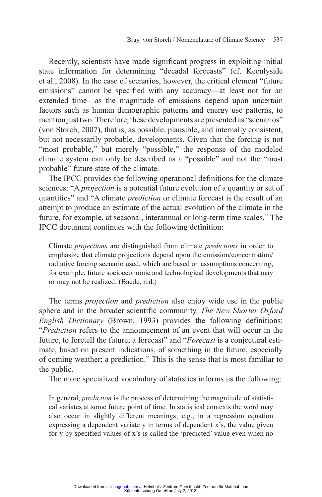Recently, scientists have made significant progress in exploiting initial state information for determining "decadal forecasts" (cf. Keenlyside et al., 2008). In the case of scenarios, however, the critical element "future emissions" cannot be specified with any accuracy—at least not for an extended time—as the magnitude of emissions depend upon uncertain factors such as human demographic patterns and energy use patterns, to mention just two. Therefore, these developments are presented as "scenarios" (von Storch, 2007), that is, as possible, plausible, and internally consistent, but not necessarily probable, developments. Given that the forcing is not "most probable," but merely "possible," the response of the modeled climate system can only be described as a "possible" and not the "most probable" future state of the climate.

The IPCC provides the following operational definitions for the climate sciences: "A *projection* is a potential future evolution of a quantity or set of quantities" and "A climate *prediction* or climate forecast is the result of an attempt to produce an estimate of the actual evolution of the climate in the future, for example, at seasonal, interannual or long-term time scales." The IPCC document continues with the following definition:

Climate *projections* are distinguished from climate *predictions* in order to emphasize that climate projections depend upon the emission/concentration/ radiative forcing scenario used, which are based on assumptions concerning, for example, future socioeconomic and technological developments that may or may not be realized. (Baede, n.d.)

The terms *projection* and *prediction* also enjoy wide use in the public sphere and in the broader scientific community. *The New Shorter Oxford English Dictionary* (Brown, 1993) provides the following definitions: "*Prediction* refers to the announcement of an event that will occur in the future, to foretell the future; a forecast" and "*Forecast* is a conjectural estimate, based on present indications, of something in the future, especially of coming weather; a prediction." This is the sense that is most familiar to the public.

The more specialized vocabulary of statistics informs us the following:

In general, *prediction* is the process of determining the magnitude of statistical variates at some future point of time. In statistical contexts the word may also occur in slightly different meanings; e.g., in a regression equation expressing a dependent variate y in terms of dependent x's, the value given for y by specified values of x's is called the 'predicted' value even when no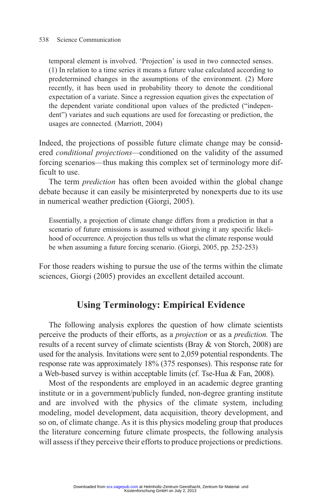temporal element is involved. 'Projection' is used in two connected senses. (1) In relation to a time series it means a future value calculated according to predetermined changes in the assumptions of the environment. (2) More recently, it has been used in probability theory to denote the conditional expectation of a variate. Since a regression equation gives the expectation of the dependent variate conditional upon values of the predicted ("independent") variates and such equations are used for forecasting or prediction, the usages are connected. (Marriott, 2004)

Indeed, the projections of possible future climate change may be considered *conditional projections—*conditioned on the validity of the assumed forcing scenarios—thus making this complex set of terminology more difficult to use.

The term *prediction* has often been avoided within the global change debate because it can easily be misinterpreted by nonexperts due to its use in numerical weather prediction (Giorgi, 2005).

Essentially, a projection of climate change differs from a prediction in that a scenario of future emissions is assumed without giving it any specific likelihood of occurrence. A projection thus tells us what the climate response would be when assuming a future forcing scenario. (Giorgi, 2005, pp. 252-253)

For those readers wishing to pursue the use of the terms within the climate sciences, Giorgi (2005) provides an excellent detailed account.

#### **Using Terminology: Empirical Evidence**

The following analysis explores the question of how climate scientists perceive the products of their efforts, as a *projection* or as a *prediction.* The results of a recent survey of climate scientists (Bray & von Storch, 2008) are used for the analysis. Invitations were sent to 2,059 potential respondents. The response rate was approximately 18% (375 responses). This response rate for a Web-based survey is within acceptable limits (cf. Tse-Hua & Fan, 2008).

Most of the respondents are employed in an academic degree granting institute or in a government/publicly funded, non-degree granting institute and are involved with the physics of the climate system, including modeling, model development, data acquisition, theory development, and so on, of climate change. As it is this physics modeling group that produces the literature concerning future climate prospects, the following analysis will assess if they perceive their efforts to produce projections or predictions.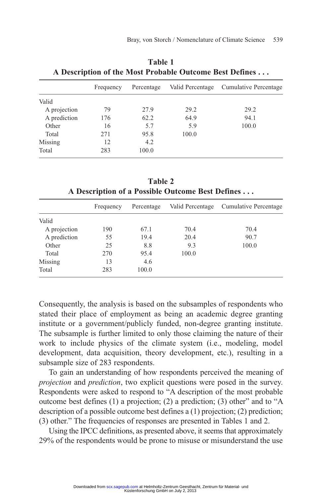| $\mathbf{11}$ Development of the negative revolute $\mathbf{12}$ and $\mathbf{23}$ |           |            |                  |                       |
|------------------------------------------------------------------------------------|-----------|------------|------------------|-----------------------|
|                                                                                    | Frequency | Percentage | Valid Percentage | Cumulative Percentage |
| Valid                                                                              |           |            |                  |                       |
| A projection                                                                       | 79        | 27.9       | 29.2             | 29.2                  |
| A prediction                                                                       | 176       | 62.2       | 64.9             | 94.1                  |
| Other                                                                              | 16        | 5.7        | 5.9              | 100.0                 |
| Total                                                                              | 271       | 95.8       | 100.0            |                       |
| Missing                                                                            | 12        | 4.2        |                  |                       |
| Total                                                                              | 283       | 100.0      |                  |                       |

**Table 1 A Description of the Most Probable Outcome Best Defines . . .**

**Table 2 A Description of a Possible Outcome Best Defines . . .**

|              | Frequency | Percentage | Valid Percentage | Cumulative Percentage |
|--------------|-----------|------------|------------------|-----------------------|
| Valid        |           |            |                  |                       |
| A projection | 190       | 67.1       | 70.4             | 70.4                  |
| A prediction | 55        | 19.4       | 20.4             | 90.7                  |
| Other        | 25        | 8.8        | 9.3              | 100.0                 |
| Total        | 270       | 95.4       | 100.0            |                       |
| Missing      | 13        | 4.6        |                  |                       |
| Total        | 283       | 100.0      |                  |                       |

Consequently, the analysis is based on the subsamples of respondents who stated their place of employment as being an academic degree granting institute or a government/publicly funded, non-degree granting institute. The subsample is further limited to only those claiming the nature of their work to include physics of the climate system (i.e., modeling, model development, data acquisition, theory development, etc.), resulting in a subsample size of 283 respondents.

To gain an understanding of how respondents perceived the meaning of *projection* and *prediction*, two explicit questions were posed in the survey. Respondents were asked to respond to "A description of the most probable outcome best defines (1) a projection; (2) a prediction; (3) other" and to "A description of a possible outcome best defines a (1) projection; (2) prediction; (3) other." The frequencies of responses are presented in Tables 1 and 2.

Using the IPCC definitions, as presented above, it seems that approximately 29% of the respondents would be prone to misuse or misunderstand the use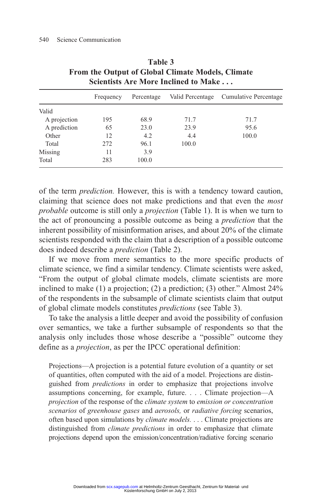|              | Frequency | Percentage | Valid Percentage | Cumulative Percentage |
|--------------|-----------|------------|------------------|-----------------------|
| Valid        |           |            |                  |                       |
| A projection | 195       | 68.9       | 71.7             | 71.7                  |
| A prediction | 65        | 23.0       | 23.9             | 95.6                  |
| Other        | 12        | 4.2        | 4.4              | 100.0                 |
| Total        | 272       | 96.1       | 100.0            |                       |
| Missing      | 11        | 3.9        |                  |                       |
| Total        | 283       | 100.0      |                  |                       |

#### **Table 3 From the Output of Global Climate Models, Climate Scientists Are More Inclined to Make . . .**

of the term *prediction.* However, this is with a tendency toward caution, claiming that science does not make predictions and that even the *most probable* outcome is still only a *projection* (Table 1). It is when we turn to the act of pronouncing a possible outcome as being a *prediction* that the inherent possibility of misinformation arises, and about 20% of the climate scientists responded with the claim that a description of a possible outcome does indeed describe a *prediction* (Table 2).

If we move from mere semantics to the more specific products of climate science, we find a similar tendency. Climate scientists were asked, "From the output of global climate models, climate scientists are more inclined to make (1) a projection; (2) a prediction; (3) other." Almost 24% of the respondents in the subsample of climate scientists claim that output of global climate models constitutes *predictions* (see Table 3).

To take the analysis a little deeper and avoid the possibility of confusion over semantics, we take a further subsample of respondents so that the analysis only includes those whose describe a "possible" outcome they define as a *projection*, as per the IPCC operational definition:

Projections—A projection is a potential future evolution of a quantity or set of quantities, often computed with the aid of a model. Projections are distinguished from *predictions* in order to emphasize that projections involve assumptions concerning, for example, future. . . . Climate projection—A *projection* of the response of the *climate system* to *emission or concentration scenarios* of *greenhouse gases* and *aerosols,* or *radiative forcing* scenarios, often based upon simulations by *climate models.* . . . Climate projections are distinguished from *climate predictions* in order to emphasize that climate projections depend upon the emission/concentration/radiative forcing scenario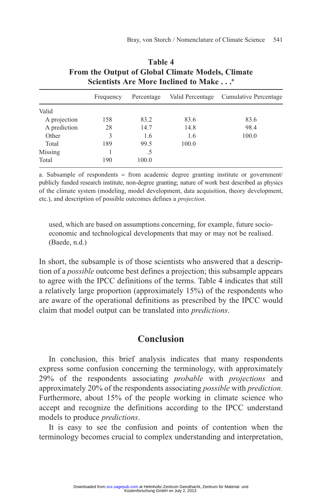|              | Frequency | Percentage | Valid Percentage | Cumulative Percentage |
|--------------|-----------|------------|------------------|-----------------------|
| Valid        |           |            |                  |                       |
| A projection | 158       | 83.2       | 83.6             | 83.6                  |
| A prediction | 28        | 14.7       | 14.8             | 98.4                  |
| Other        | 3         | 1.6        | 1.6              | 100.0                 |
| Total        | 189       | 99.5       | 100.0            |                       |
| Missing      |           | .5         |                  |                       |
| Total        | 190       | 100.0      |                  |                       |

#### **Table 4 From the Output of Global Climate Models, Climate Scientists Are More Inclined to Make ...**<sup>a</sup>

a. Subsample of respondents  $=$  from academic degree granting institute or government/ publicly funded research institute, non-degree granting; nature of work best described as physics of the climate system (modeling, model development, data acquisition, theory development, etc.), and description of possible outcomes defines a *projection*.

used, which are based on assumptions concerning, for example, future socioeconomic and technological developments that may or may not be realised. (Baede, n.d.)

In short, the subsample is of those scientists who answered that a description of a *possible* outcome best defines a projection; this subsample appears to agree with the IPCC definitions of the terms. Table 4 indicates that still a relatively large proportion (approximately 15%) of the respondents who are aware of the operational definitions as prescribed by the IPCC would claim that model output can be translated into *predictions*.

#### **Conclusion**

In conclusion, this brief analysis indicates that many respondents express some confusion concerning the terminology, with approximately 29% of the respondents associating *probable* with *projections* and approximately 20% of the respondents associating *possible* with *prediction.* Furthermore, about 15% of the people working in climate science who accept and recognize the definitions according to the IPCC understand models to produce *predictions*.

It is easy to see the confusion and points of contention when the terminology becomes crucial to complex understanding and interpretation,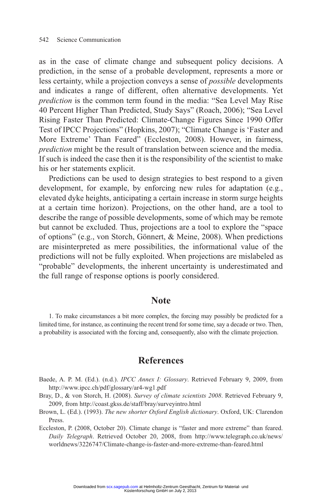as in the case of climate change and subsequent policy decisions. A prediction, in the sense of a probable development, represents a more or less certainty, while a projection conveys a sense of *possible* developments and indicates a range of different, often alternative developments. Yet *prediction* is the common term found in the media: "Sea Level May Rise 40 Percent Higher Than Predicted, Study Says" (Roach, 2006); "Sea Level Rising Faster Than Predicted: Climate-Change Figures Since 1990 Offer Test of IPCC Projections" (Hopkins, 2007); "Climate Change is 'Faster and More Extreme' Than Feared" (Eccleston, 2008). However, in fairness, *prediction* might be the result of translation between science and the media. If such is indeed the case then it is the responsibility of the scientist to make his or her statements explicit.

Predictions can be used to design strategies to best respond to a given development, for example, by enforcing new rules for adaptation (e.g., elevated dyke heights, anticipating a certain increase in storm surge heights at a certain time horizon). Projections, on the other hand, are a tool to describe the range of possible developments, some of which may be remote but cannot be excluded. Thus, projections are a tool to explore the "space of options" (e.g., von Storch, Gönnert, & Meine, 2008). When predictions are misinterpreted as mere possibilities, the informational value of the predictions will not be fully exploited. When projections are mislabeled as "probable" developments, the inherent uncertainty is underestimated and the full range of response options is poorly considered.

#### **Note**

1. To make circumstances a bit more complex, the forcing may possibly be predicted for a limited time, for instance, as continuing the recent trend for some time, say a decade or two. Then, a probability is associated with the forcing and, consequently, also with the climate projection.

#### **References**

- Baede, A. P. M. (Ed.). (n.d.). *IPCC Annex I: Glossary*. Retrieved February 9, 2009, from http://www.ipcc.ch/pdf/glossary/ar4-wg1.pdf
- Bray, D., & von Storch, H. (2008). *Survey of climate scientists 2008*. Retrieved February 9, 2009, from http://coast.gkss.de/staff/bray/surveyintro.html
- Brown, L. (Ed.). (1993). *The new shorter Oxford English dictionary*. Oxford, UK: Clarendon Press.
- Eccleston, P. (2008, October 20). Climate change is "faster and more extreme" than feared. *Daily Telegraph*. Retrieved October 20, 2008, from http://www.telegraph.co.uk/news/ worldnews/3226747/Climate-change-is-faster-and-more-extreme-than-feared.html